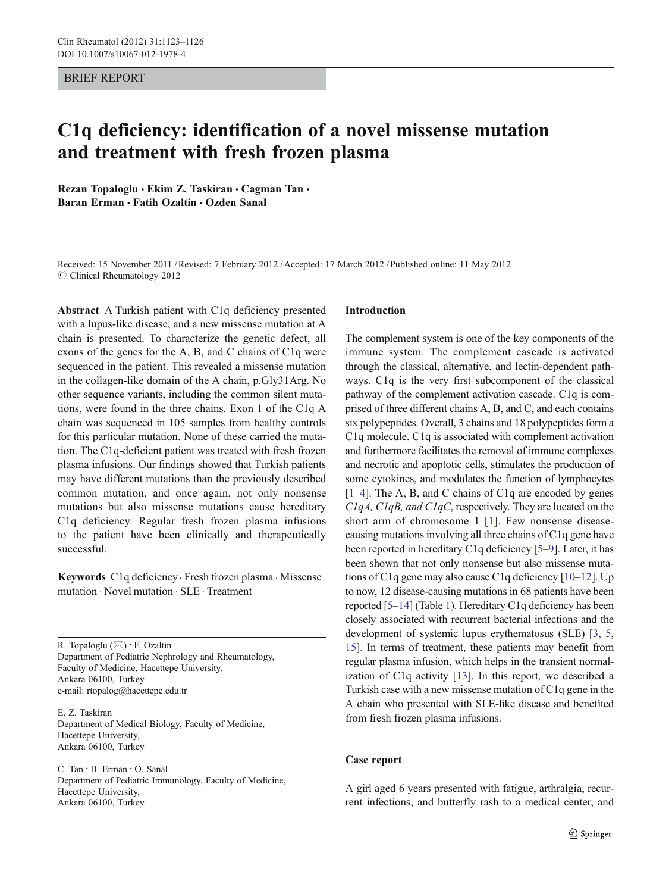### BRIEF REPORT

# C1q deficiency: identification of a novel missense mutation and treatment with fresh frozen plasma

Rezan Topaloglu · Ekim Z. Taskiran · Cagman Tan · Baran Erman · Fatih Ozaltin · Ozden Sanal

Received: 15 November 2011 /Revised: 7 February 2012 /Accepted: 17 March 2012 / Published online: 11 May 2012  $\odot$  Clinical Rheumatology 2012

Abstract A Turkish patient with C1q deficiency presented with a lupus-like disease, and a new missense mutation at A chain is presented. To characterize the genetic defect, all exons of the genes for the A, B, and C chains of C1q were sequenced in the patient. This revealed a missense mutation in the collagen-like domain of the A chain, p.Gly31Arg. No other sequence variants, including the common silent mutations, were found in the three chains. Exon 1 of the C1q A chain was sequenced in 105 samples from healthy controls for this particular mutation. None of these carried the mutation. The C1q-deficient patient was treated with fresh frozen plasma infusions. Our findings showed that Turkish patients may have different mutations than the previously described common mutation, and once again, not only nonsense mutations but also missense mutations cause hereditary C1q deficiency. Regular fresh frozen plasma infusions to the patient have been clinically and therapeutically successful.

Keywords C1q deficiency . Fresh frozen plasma . Missense mutation . Novel mutation . SLE . Treatment

R. Topaloglu  $(\boxtimes) \cdot$  F. Ozaltin Department of Pediatric Nephrology and Rheumatology, Faculty of Medicine, Hacettepe University, Ankara 06100, Turkey e-mail: rtopalog@hacettepe.edu.tr

E. Z. Taskiran Department of Medical Biology, Faculty of Medicine, Hacettepe University, Ankara 06100, Turkey

C. Tan : B. Erman : O. Sanal Department of Pediatric Immunology, Faculty of Medicine, Hacettepe University, Ankara 06100, Turkey

## Introduction

The complement system is one of the key components of the immune system. The complement cascade is activated through the classical, alternative, and lectin-dependent pathways. C1q is the very first subcomponent of the classical pathway of the complement activation cascade. C1q is comprised of three different chains A, B, and C, and each contains six polypeptides. Overall, 3 chains and 18 polypeptides form a C1q molecule. C1q is associated with complement activation and furthermore facilitates the removal of immune complexes and necrotic and apoptotic cells, stimulates the production of some cytokines, and modulates the function of lymphocytes [\[1](#page-3-0)–[4\]](#page-3-0). The A, B, and C chains of C1q are encoded by genes C1qA, C1qB, and C1qC, respectively. They are located on the short arm of chromosome 1 [[1](#page-3-0)]. Few nonsense diseasecausing mutations involving all three chains of C1q gene have been reported in hereditary C1q deficiency [[5](#page-3-0)–[9](#page-3-0)]. Later, it has been shown that not only nonsense but also missense mutations of C1q gene may also cause C1q deficiency [\[10](#page-3-0)–[12\]](#page-3-0). Up to now, 12 disease-causing mutations in 68 patients have been reported [\[5](#page-3-0)–[14\]](#page-3-0) (Table [1\)](#page-1-0). Hereditary C1q deficiency has been closely associated with recurrent bacterial infections and the development of systemic lupus erythematosus (SLE) [[3](#page-3-0), [5,](#page-3-0) [15\]](#page-3-0). In terms of treatment, these patients may benefit from regular plasma infusion, which helps in the transient normalization of C1q activity [[13\]](#page-3-0). In this report, we described a Turkish case with a new missense mutation of C1q gene in the A chain who presented with SLE-like disease and benefited from fresh frozen plasma infusions.

## Case report

A girl aged 6 years presented with fatigue, arthralgia, recurrent infections, and butterfly rash to a medical center, and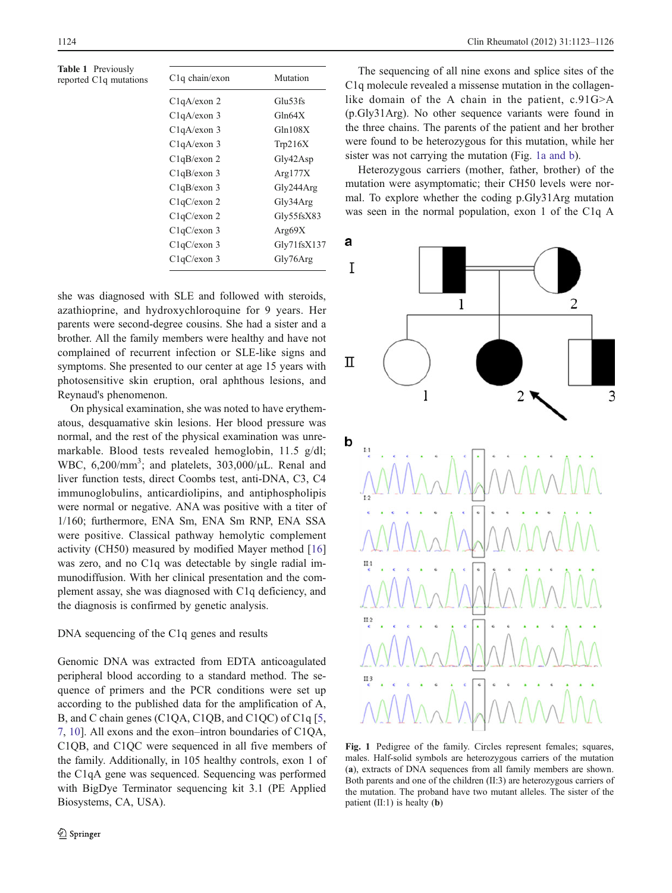<span id="page-1-0"></span>Table 1 Previously reported  $C1q$  mutations

| $C1q$ chain/exon | Mutation    |
|------------------|-------------|
| C1qA/exon 2      | Glu53fs     |
| $C1qA$ /exon 3   | Gln64X      |
| $C1qA$ /exon 3   | Gln108X     |
| $C1qA$ /exon 3   | Tip216X     |
| C1qB/exon 2      | Gly42Asp    |
| $C1qB$ /exon 3   | Arg $177X$  |
| $C1qB$ /exon 3   | Gly244Arg   |
| $C1qC$ /exon 2   | Gly34Arg    |
| $C1qC$ /exon 2   | Gly55fsX83  |
| $C1qC$ /exon 3   | Arg $69X$   |
| $C1qC$ /exon 3   | Gly71fsX137 |
| $C1qC$ /exon 3   | Gly76Arg    |

she was diagnosed with SLE and followed with steroids, azathioprine, and hydroxychloroquine for 9 years. Her parents were second-degree cousins. She had a sister and a brother. All the family members were healthy and have not complained of recurrent infection or SLE-like signs and symptoms. She presented to our center at age 15 years with photosensitive skin eruption, oral aphthous lesions, and Reynaud's phenomenon.

On physical examination, she was noted to have erythematous, desquamative skin lesions. Her blood pressure was normal, and the rest of the physical examination was unremarkable. Blood tests revealed hemoglobin, 11.5 g/dl; WBC, 6,200/mm<sup>3</sup>; and platelets, 303,000/μL. Renal and liver function tests, direct Coombs test, anti-DNA, C3, C4 immunoglobulins, anticardiolipins, and antiphospholipis were normal or negative. ANA was positive with a titer of 1/160; furthermore, ENA Sm, ENA Sm RNP, ENA SSA were positive. Classical pathway hemolytic complement activity (CH50) measured by modified Mayer method [[16\]](#page-3-0) was zero, and no C1q was detectable by single radial immunodiffusion. With her clinical presentation and the complement assay, she was diagnosed with C1q deficiency, and the diagnosis is confirmed by genetic analysis.

## DNA sequencing of the C1q genes and results

Genomic DNA was extracted from EDTA anticoagulated peripheral blood according to a standard method. The sequence of primers and the PCR conditions were set up according to the published data for the amplification of A, B, and C chain genes (C1QA, C1QB, and C1QC) of C1q [[5,](#page-3-0) [7](#page-3-0), [10](#page-3-0)]. All exons and the exon–intron boundaries of C1QA, C1QB, and C1QC were sequenced in all five members of the family. Additionally, in 105 healthy controls, exon 1 of the C1qA gene was sequenced. Sequencing was performed with BigDye Terminator sequencing kit 3.1 (PE Applied Biosystems, CA, USA).

The sequencing of all nine exons and splice sites of the C1q molecule revealed a missense mutation in the collagenlike domain of the A chain in the patient, c.91G>A (p.Gly31Arg). No other sequence variants were found in the three chains. The parents of the patient and her brother were found to be heterozygous for this mutation, while her sister was not carrying the mutation (Fig. 1a and b).

Heterozygous carriers (mother, father, brother) of the mutation were asymptomatic; their CH50 levels were normal. To explore whether the coding p.Gly31Arg mutation was seen in the normal population, exon 1 of the C1q A



Fig. 1 Pedigree of the family. Circles represent females; squares, males. Half-solid symbols are heterozygous carriers of the mutation (a), extracts of DNA sequences from all family members are shown. Both parents and one of the children (II:3) are heterozygous carriers of the mutation. The proband have two mutant alleles. The sister of the patient  $(II:1)$  is healty  $(b)$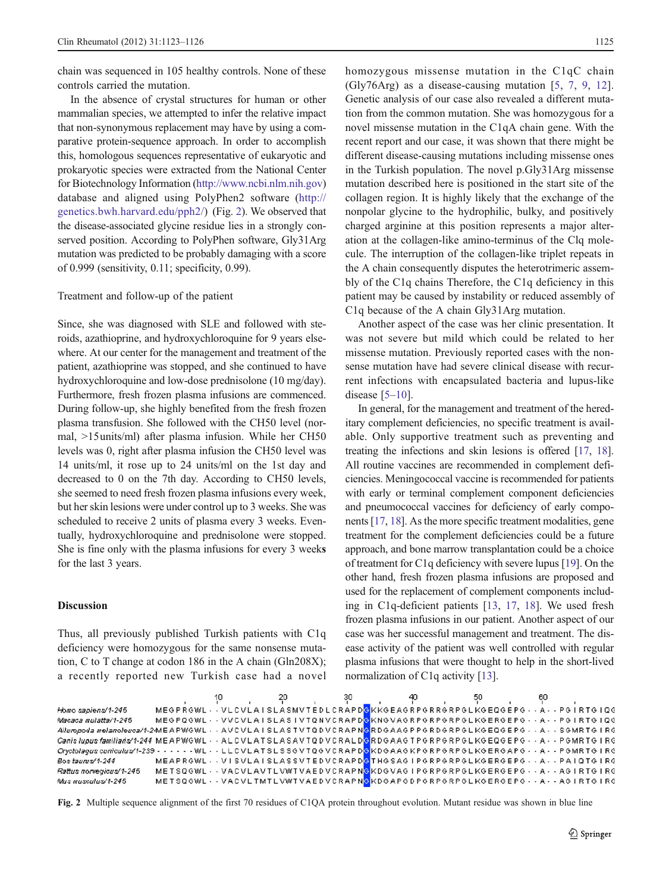chain was sequenced in 105 healthy controls. None of these controls carried the mutation.

In the absence of crystal structures for human or other mammalian species, we attempted to infer the relative impact that non-synonymous replacement may have by using a comparative protein-sequence approach. In order to accomplish this, homologous sequences representative of eukaryotic and prokaryotic species were extracted from the National Center for Biotechnology Information [\(http://www.ncbi.nlm.nih.gov\)](http://www.ncbi.nlm.nih.gov) database and aligned using PolyPhen2 software ([http://](http://genetics.bwh.harvard.edu/pph2/) [genetics.bwh.harvard.edu/pph2/\)](http://genetics.bwh.harvard.edu/pph2/) (Fig. 2). We observed that the disease-associated glycine residue lies in a strongly conserved position. According to PolyPhen software, Gly31Arg mutation was predicted to be probably damaging with a score of 0.999 (sensitivity, 0.11; specificity, 0.99).

#### Treatment and follow-up of the patient

Since, she was diagnosed with SLE and followed with steroids, azathioprine, and hydroxychloroquine for 9 years elsewhere. At our center for the management and treatment of the patient, azathioprine was stopped, and she continued to have hydroxychloroquine and low-dose prednisolone (10 mg/day). Furthermore, fresh frozen plasma infusions are commenced. During follow-up, she highly benefited from the fresh frozen plasma transfusion. She followed with the CH50 level (normal, >15units/ml) after plasma infusion. While her CH50 levels was 0, right after plasma infusion the CH50 level was 14 units/ml, it rose up to 24 units/ml on the 1st day and decreased to 0 on the 7th day. According to CH50 levels, she seemed to need fresh frozen plasma infusions every week, but her skin lesions were under control up to 3 weeks. She was scheduled to receive 2 units of plasma every 3 weeks. Eventually, hydroxychloroquine and prednisolone were stopped. She is fine only with the plasma infusions for every 3 weeks for the last 3 years.

## Discussion

Thus, all previously published Turkish patients with C1q deficiency were homozygous for the same nonsense mutation, C to T change at codon 186 in the A chain (Gln208X); a recently reported new Turkish case had a novel homozygous missense mutation in the C<sub>1q</sub>C chain (Gly76Arg) as a disease-causing mutation [[5,](#page-3-0) [7,](#page-3-0) [9](#page-3-0), [12](#page-3-0)]. Genetic analysis of our case also revealed a different mutation from the common mutation. She was homozygous for a novel missense mutation in the C1qA chain gene. With the recent report and our case, it was shown that there might be different disease-causing mutations including missense ones in the Turkish population. The novel p.Gly31Arg missense mutation described here is positioned in the start site of the collagen region. It is highly likely that the exchange of the nonpolar glycine to the hydrophilic, bulky, and positively charged arginine at this position represents a major alteration at the collagen-like amino-terminus of the Clq molecule. The interruption of the collagen-like triplet repeats in the A chain consequently disputes the heterotrimeric assembly of the C1q chains Therefore, the C1q deficiency in this patient may be caused by instability or reduced assembly of C1q because of the A chain Gly31Arg mutation.

Another aspect of the case was her clinic presentation. It was not severe but mild which could be related to her missense mutation. Previously reported cases with the nonsense mutation have had severe clinical disease with recurrent infections with encapsulated bacteria and lupus-like disease  $[5-10]$  $[5-10]$  $[5-10]$  $[5-10]$ .

In general, for the management and treatment of the hereditary complement deficiencies, no specific treatment is available. Only supportive treatment such as preventing and treating the infections and skin lesions is offered [[17](#page-3-0), [18\]](#page-3-0). All routine vaccines are recommended in complement deficiencies. Meningococcal vaccine is recommended for patients with early or terminal complement component deficiencies and pneumococcal vaccines for deficiency of early components [[17](#page-3-0), [18\]](#page-3-0). As the more specific treatment modalities, gene treatment for the complement deficiencies could be a future approach, and bone marrow transplantation could be a choice of treatment for C1q deficiency with severe lupus [[19\]](#page-3-0). On the other hand, fresh frozen plasma infusions are proposed and used for the replacement of complement components including in C1q-deficient patients [[13,](#page-3-0) [17](#page-3-0), [18\]](#page-3-0). We used fresh frozen plasma infusions in our patient. Another aspect of our case was her successful management and treatment. The disease activity of the patient was well controlled with regular plasma infusions that were thought to help in the short-lived normalization of C1q activity [[13](#page-3-0)].

|                                                                                                                                        | 10 | 20 | 30 | -40 | 50 | 60                                                                                              |  |
|----------------------------------------------------------------------------------------------------------------------------------------|----|----|----|-----|----|-------------------------------------------------------------------------------------------------|--|
| Homo sapiens⁄1-245                                                                                                                     |    |    |    |     |    | MEGPRGWL · · VLCVLAISLASMVTEDLCRAPDGKKGEAGRPGRRGRPGLKGEQGEPG · · A · · PGIRTGIQG                |  |
| Macaca mulatta/1-245                                                                                                                   |    |    |    |     |    | MEGPQGWL - · VVCVLAISLASIVTQNVCRAPDGKNGVAGRPGRPGRPGLKGERGEPG - - A - - PGIRTGIQG                |  |
| <i>Ailuropoda melanoleuca/1-2+</i> MEAPWGWL · · AVCVLA I SLASTVTQDVCRAPN <mark>G</mark> RDGAAGPPGRDGRPGLKGEQGEPG · · A · · SGMRTG I RG |    |    |    |     |    |                                                                                                 |  |
| <i>Canis lupus familiaris/1-244</i> MEAPWGWL - - ALCVLATSLASAVTQDVCRALD <mark>G</mark> RDGAAGTPGRPGRPGLKGEQGEPG - - A - - PGMRTG IRG   |    |    |    |     |    |                                                                                                 |  |
| Oryctolagus cuniculus/1-239 - - - - - - WL - - LLCVLATSLSSGVTQGVCRAPD <mark>G</mark> KDGAAGKPGRPGRPGLKGERGAPG - - A - - PGMRTG IRG     |    |    |    |     |    |                                                                                                 |  |
| Bostaurus/1-244                                                                                                                        |    |    |    |     |    | MEAPRGWL - - VISVLAISLASSVTEDVCRAPD <mark>G</mark> THGSAGIPGRPGRPGLKGERGEPG - - A - - PAIQTGIRG |  |
| Rattus norvegicus/1-245                                                                                                                |    |    |    |     |    | METSQGWL - - VACVLAVTLVWTVAEDVCRAPNGKDGVAGIPGRPGRPGLKGERGEPG - - A - - AGIRTGIRG                |  |
| Mus musculus/1-245                                                                                                                     |    |    |    |     |    | METSQGWL - - VACVLTMTLVWTVAEDVCRAPNGKDGAPGDPGRPGRPGLKGERGEPG - - A - - AGIRTGIRG                |  |

Fig. 2 Multiple sequence alignment of the first 70 residues of C1QA protein throughout evolution. Mutant residue was shown in blue line